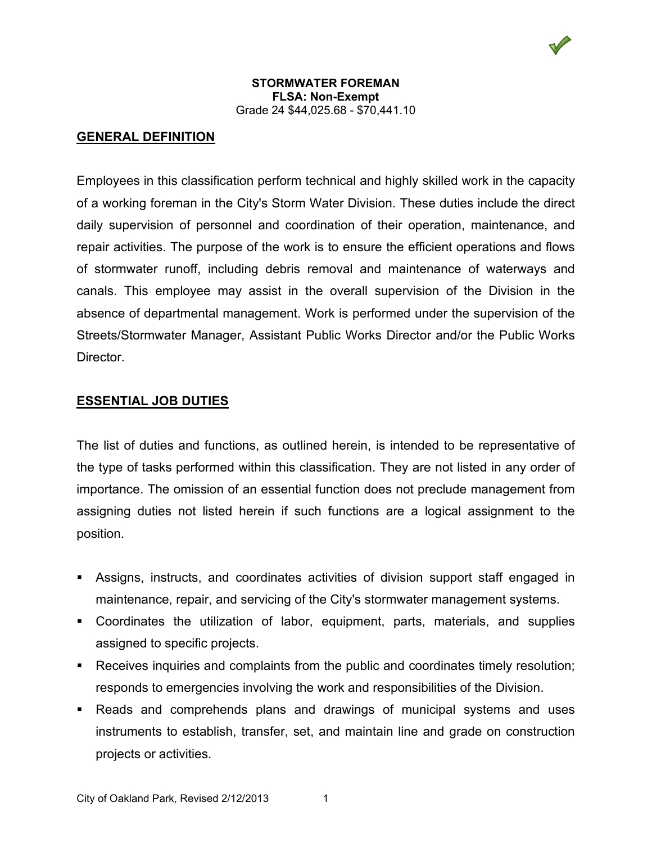

# **GENERAL DEFINITION**

Employees in this classification perform technical and highly skilled work in the capacity of a working foreman in the City's Storm Water Division. These duties include the direct daily supervision of personnel and coordination of their operation, maintenance, and repair activities. The purpose of the work is to ensure the efficient operations and flows of stormwater runoff, including debris removal and maintenance of waterways and canals. This employee may assist in the overall supervision of the Division in the absence of departmental management. Work is performed under the supervision of the Streets/Stormwater Manager, Assistant Public Works Director and/or the Public Works Director.

## **ESSENTIAL JOB DUTIES**

The list of duties and functions, as outlined herein, is intended to be representative of the type of tasks performed within this classification. They are not listed in any order of importance. The omission of an essential function does not preclude management from assigning duties not listed herein if such functions are a logical assignment to the position.

- Assigns, instructs, and coordinates activities of division support staff engaged in maintenance, repair, and servicing of the City's stormwater management systems.
- Coordinates the utilization of labor, equipment, parts, materials, and supplies assigned to specific projects.
- Receives inquiries and complaints from the public and coordinates timely resolution; responds to emergencies involving the work and responsibilities of the Division.
- Reads and comprehends plans and drawings of municipal systems and uses instruments to establish, transfer, set, and maintain line and grade on construction projects or activities.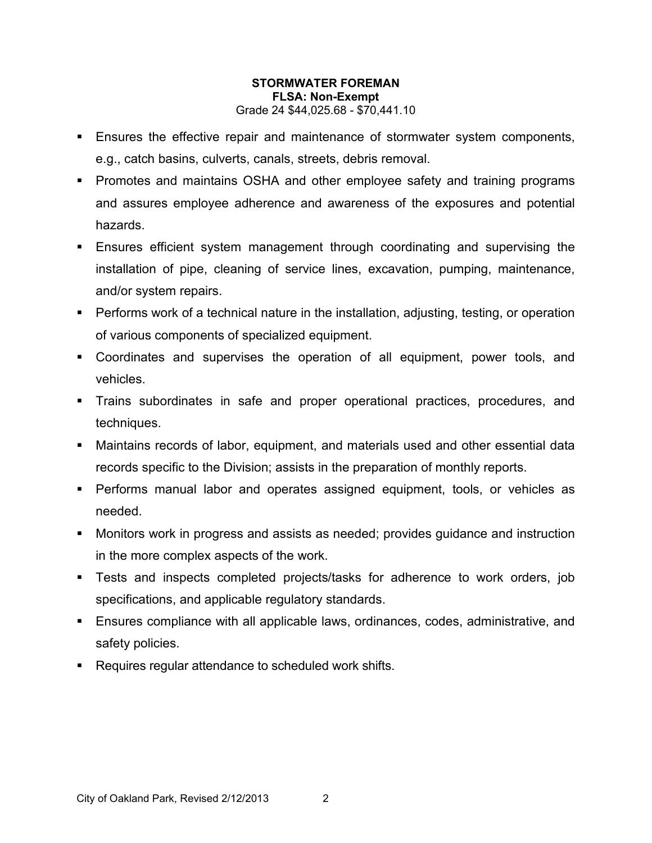- Ensures the effective repair and maintenance of stormwater system components, e.g., catch basins, culverts, canals, streets, debris removal.
- **Promotes and maintains OSHA and other employee safety and training programs** and assures employee adherence and awareness of the exposures and potential hazards.
- Ensures efficient system management through coordinating and supervising the installation of pipe, cleaning of service lines, excavation, pumping, maintenance, and/or system repairs.
- Performs work of a technical nature in the installation, adjusting, testing, or operation of various components of specialized equipment.
- Coordinates and supervises the operation of all equipment, power tools, and vehicles.
- Trains subordinates in safe and proper operational practices, procedures, and techniques.
- Maintains records of labor, equipment, and materials used and other essential data records specific to the Division; assists in the preparation of monthly reports.
- Performs manual labor and operates assigned equipment, tools, or vehicles as needed.
- Monitors work in progress and assists as needed; provides guidance and instruction in the more complex aspects of the work.
- Tests and inspects completed projects/tasks for adherence to work orders, job specifications, and applicable regulatory standards.
- Ensures compliance with all applicable laws, ordinances, codes, administrative, and safety policies.
- Requires regular attendance to scheduled work shifts.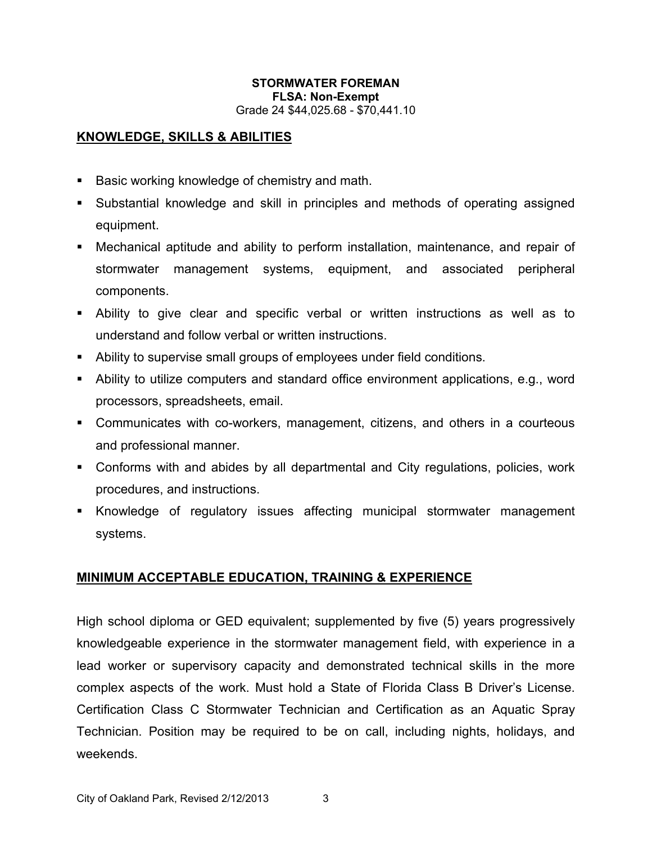# **KNOWLEDGE, SKILLS & ABILITIES**

- Basic working knowledge of chemistry and math.
- Substantial knowledge and skill in principles and methods of operating assigned equipment.
- Mechanical aptitude and ability to perform installation, maintenance, and repair of stormwater management systems, equipment, and associated peripheral components.
- Ability to give clear and specific verbal or written instructions as well as to understand and follow verbal or written instructions.
- Ability to supervise small groups of employees under field conditions.
- Ability to utilize computers and standard office environment applications, e.g., word processors, spreadsheets, email.
- Communicates with co-workers, management, citizens, and others in a courteous and professional manner.
- Conforms with and abides by all departmental and City regulations, policies, work procedures, and instructions.
- Knowledge of regulatory issues affecting municipal stormwater management systems.

## **MINIMUM ACCEPTABLE EDUCATION, TRAINING & EXPERIENCE**

High school diploma or GED equivalent; supplemented by five (5) years progressively knowledgeable experience in the stormwater management field, with experience in a lead worker or supervisory capacity and demonstrated technical skills in the more complex aspects of the work. Must hold a State of Florida Class B Driver's License. Certification Class C Stormwater Technician and Certification as an Aquatic Spray Technician. Position may be required to be on call, including nights, holidays, and weekends.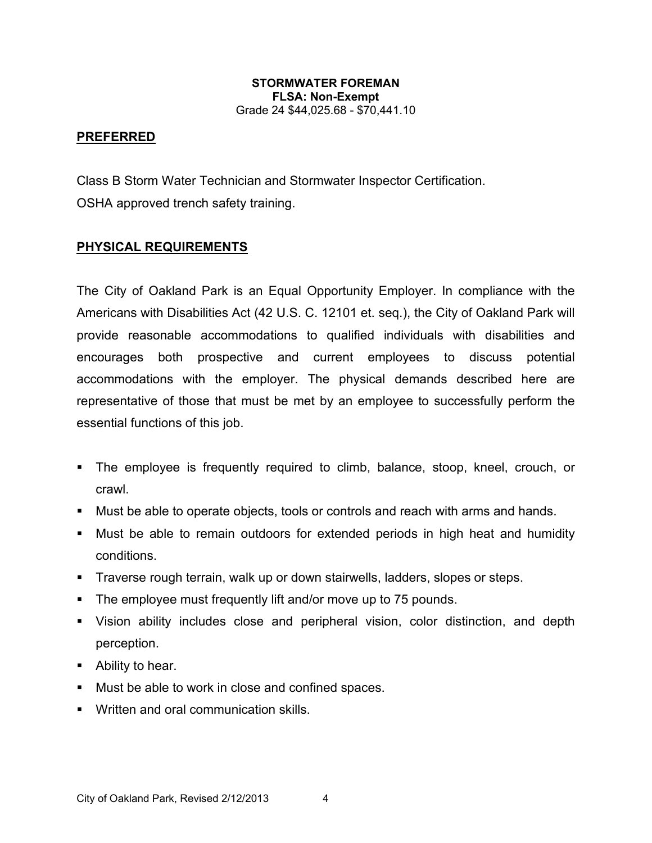### **PREFERRED**

Class B Storm Water Technician and Stormwater Inspector Certification. OSHA approved trench safety training.

## **PHYSICAL REQUIREMENTS**

The City of Oakland Park is an Equal Opportunity Employer. In compliance with the Americans with Disabilities Act (42 U.S. C. 12101 et. seq.), the City of Oakland Park will provide reasonable accommodations to qualified individuals with disabilities and encourages both prospective and current employees to discuss potential accommodations with the employer. The physical demands described here are representative of those that must be met by an employee to successfully perform the essential functions of this job.

- The employee is frequently required to climb, balance, stoop, kneel, crouch, or crawl.
- Must be able to operate objects, tools or controls and reach with arms and hands.
- Must be able to remain outdoors for extended periods in high heat and humidity conditions.
- Traverse rough terrain, walk up or down stairwells, ladders, slopes or steps.
- **The employee must frequently lift and/or move up to 75 pounds.**
- Vision ability includes close and peripheral vision, color distinction, and depth perception.
- **Ability to hear.**
- **Must be able to work in close and confined spaces.**
- **Written and oral communication skills.**